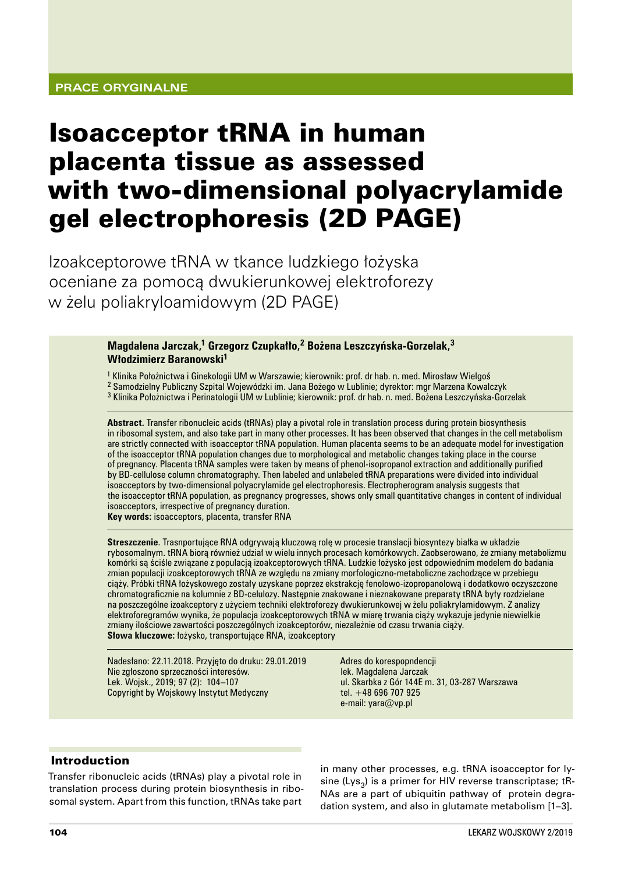## **Prace oryginalne**

# Isoacceptor tRNA in human placenta tissue as assessed with two-dimensional polyacrylamide gel electrophoresis (2D PAGE)

Izoakceptorowe tRNA w tkance ludzkiego łożyska oceniane za pomocą dwukierunkowej elektroforezy w żelu poliakryloamidowym (2D PAGE)

> **Magdalena Jarczak,1 Grzegorz Czupkałło,2 Bożena Leszczyńska‑Gorzelak,<sup>3</sup> Włodzimierz Baranowski<sup>1</sup>**

<sup>1</sup> Klinika Położnictwa i Ginekologii UM w Warszawie; kierownik: prof. dr hab. n. med. Mirosław Wielgoś

- <sup>2</sup> Samodzielny Publiczny Szpital Wojewódzki im. Jana Bożego w Lublinie; dyrektor: mgr Marzena Kowalczyk
- <sup>3</sup> Klinika Położnictwa i Perinatologii UM w Lublinie; kierownik: prof. dr hab. n. med. Bożena Leszczyńska‑Gorzelak

**Abstract.** Transfer ribonucleic acids (tRNAs) play a pivotal role in translation process during protein biosynthesis in ribosomal system, and also take part in many other processes. It has been observed that changes in the cell metabolism are strictly connected with isoacceptor tRNA population. Human placenta seems to be an adequate model for investigation of the isoacceptor tRNA population changes due to morphological and metabolic changes taking place in the course of pregnancy. Placenta tRNA samples were taken by means of phenol‑isopropanol extraction and additionally purified by BD‑cellulose column chromatography. Then labeled and unlabeled tRNA preparations were divided into individual isoacceptors by two-dimensional polyacrylamide gel electrophoresis. Electropherogram analysis suggests that the isoacceptor tRNA population, as pregnancy progresses, shows only small quantitative changes in content of individual isoacceptors, irrespective of pregnancy duration. **Key words:** isoacceptors, placenta, transfer RNA

**Streszczenie**. Trasnportujące RNA odgrywają kluczową rolę w procesie translacji biosyntezy białka w układzie rybosomalnym. tRNA biorą również udział w wielu innych procesach komórkowych. Zaobserowano, że zmiany metabolizmu komórki są ściśle związane z populacją izoakceptorowych tRNA. Ludzkie łożysko jest odpowiednim modelem do badania zmian populacji izoakceptorowych tRNA ze względu na zmiany morfologiczno‑metaboliczne zachodzące w przebiegu ciąży. Próbki tRNA łożyskowego zostały uzyskane poprzez ekstrakcję fenolowo‑izopropanolową i dodatkowo oczyszczone chromatograficznie na kolumnie z BD‑celulozy. Następnie znakowane i nieznakowane preparaty tRNA były rozdzielane na poszczególne izoakceptory z użyciem techniki elektroforezy dwukierunkowej w żelu poliakrylamidowym. Z analizy elektroforegramów wynika, że populacja izoakceptorowych tRNA w miarę trwania ciąży wykazuje jedynie niewielkie zmiany ilościowe zawartości poszczególnych izoakceptorów, niezależnie od czasu trwania ciąży. **Słowa kluczowe:** łożysko, transportujące RNA, izoakceptory

Nadesłano: 22.11.2018. Przyjęto do druku: 29.01.2019 Nie zgłoszono sprzeczności interesów. Lek. Wojsk., 2019; 97 (2): 104–107 Copyright by Wojskowy Instytut Medyczny

Adres do korespopndencji lek. Magdalena Jarczak ul. Skarbka z Gór 144E m. 31, 03-287 Warszawa tel. +48 696 707 925 e‑mail: yara@vp.pl

#### Introduction

Transfer ribonucleic acids (tRNAs) play a pivotal role in translation process during protein biosynthesis in ribo‑ somal system. Apart from this function, tRNAs take part

in many other processes, e.g. tRNA isoacceptor for ly‑ sine (Lys<sub>3</sub>) is a primer for HIV reverse transcriptase; tR-NAs are a part of ubiquitin pathway of protein degradation system, and also in glutamate metabolism [1–3].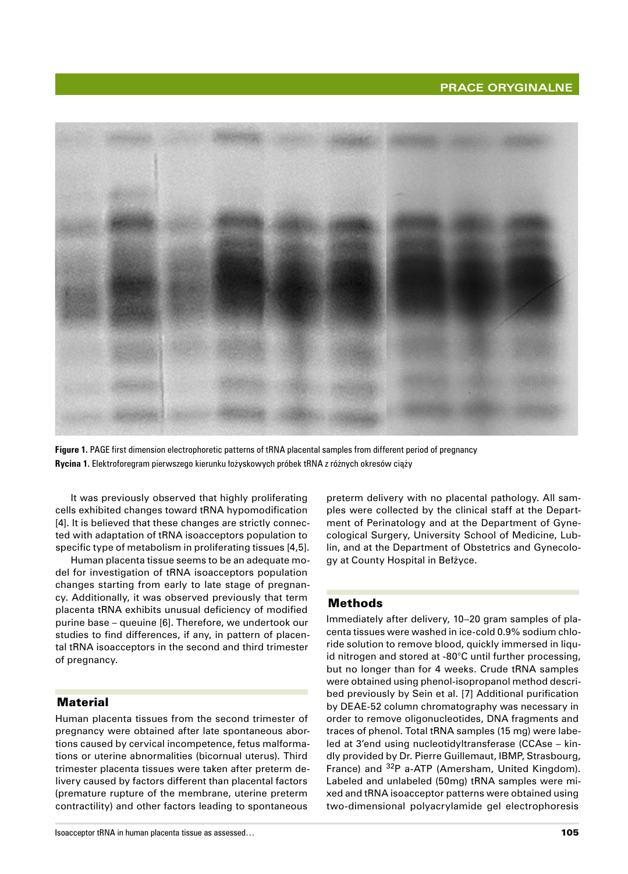

**Figure 1.** PAGE first dimension electrophoretic patterns of tRNA placental samples from different period of pregnancy **Rycina 1.** Elektroforegram pierwszego kierunku łożyskowych próbek tRNA z różnych okresów ciąży

It was previously observed that highly proliferating cells exhibited changes toward tRNA hypomodification [4]. It is believed that these changes are strictly connected with adaptation of tRNA isoacceptors population to specific type of metabolism in proliferating tissues [4,5].

Human placenta tissue seems to be an adequate model for investigation of tRNA isoacceptors population changes starting from early to late stage of pregnancy. Additionally, it was observed previously that term placenta tRNA exhibits unusual deficiency of modified purine base – queuine [6]. Therefore, we undertook our studies to find differences, if any, in pattern of placental tRNA isoacceptors in the second and third trimester of pregnancy.

#### **Material**

Human placenta tissues from the second trimester of pregnancy were obtained after late spontaneous abortions caused by cervical incompetence, fetus malformations or uterine abnormalities (bicornual uterus). Third trimester placenta tissues were taken after preterm de‑ livery caused by factors different than placental factors (premature rupture of the membrane, uterine preterm contractility) and other factors leading to spontaneous

preterm delivery with no placental pathology. All samples were collected by the clinical staff at the Department of Perinatology and at the Department of Gynecological Surgery, University School of Medicine, Lublin, and at the Department of Obstetrics and Gynecology at County Hospital in Bełżyce.

#### Methods

Immediately after delivery, 10–20 gram samples of placenta tissues were washed in ice‑cold 0.9% sodium chlo‑ ride solution to remove blood, quickly immersed in liquid nitrogen and stored at -80°C until further processing, but no longer than for 4 weeks. Crude tRNA samples were obtained using phenol-isopropanol method described previously by Sein et al. [7] Additional purification by DEAE‑52 column chromatography was necessary in order to remove oligonucleotides, DNA fragments and traces of phenol. Total tRNA samples (15 mg) were labeled at 3'end using nucleotidyltransferase (CCAse - kindly provided by Dr. Pierre Guillemaut, IBMP, Strasbourg, France) and <sup>32</sup>P a-ATP (Amersham, United Kingdom). Labeled and unlabeled (50mg) tRNA samples were mixed and tRNA isoacceptor patterns were obtained using two‑dimensional polyacrylamide gel electrophoresis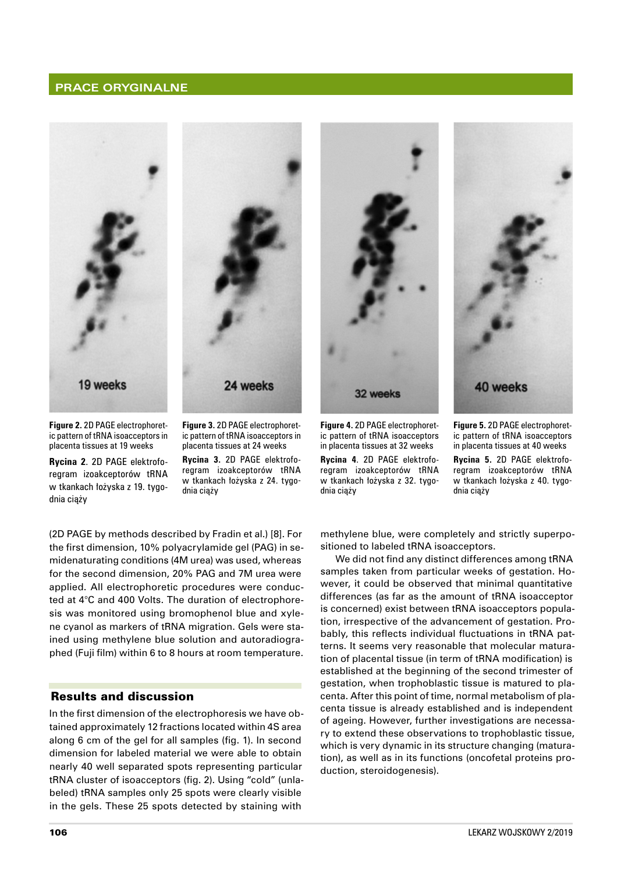#### **Prace oryginalne**





32 weeks



**Figure 2.** 2D PAGE electrophoret‑ ic pattern of tRNA isoacceptors in placenta tissues at 19 weeks

**Rycina 2**. 2D PAGE elektrofo‑ regram izoakceptorów tRNA w tkankach łożyska z 19. tygodnia ciąży

**Figure 3.** 2D PAGE electrophoret‑ ic pattern of tRNA isoacceptors in placenta tissues at 24 weeks

**Rycina 3.** 2D PAGE elektrofo‑ regram izoakceptorów tRNA w tkankach łożyska z 24. tygodnia ciąży

**Figure 4.** 2D PAGE electrophoret‑ ic pattern of tRNA isoacceptors in placenta tissues at 32 weeks **Rycina 4**. 2D PAGE elektrofo‑ regram izoakceptorów tRNA w tkankach łożyska z 32. tygodnia ciąży

**Figure 5.** 2D PAGE electrophoret‑ ic pattern of tRNA isoacceptors in placenta tissues at 40 weeks

**Rycina 5.** 2D PAGE elektrofo‑ regram izoakceptorów tRNA w tkankach łożyska z 40. tygodnia ciąży

(2D PAGE by methods described by Fradin et al.) [8]. For the first dimension, 10% polyacrylamide gel (PAG) in se‑ midenaturating conditions (4M urea) was used, whereas for the second dimension, 20% PAG and 7M urea were applied. All electrophoretic procedures were conducted at 4°C and 400 Volts. The duration of electrophoresis was monitored using bromophenol blue and xylene cyanol as markers of tRNA migration. Gels were stained using methylene blue solution and autoradiographed (Fuji film) within 6 to 8 hours at room temperature.

#### Results and discussion

In the first dimension of the electrophoresis we have obtained approximately 12 fractions located within 4S area along 6 cm of the gel for all samples (fig. 1). In second dimension for labeled material we were able to obtain nearly 40 well separated spots representing particular tRNA cluster of isoacceptors (fig. 2). Using "cold" (unla‑ beled) tRNA samples only 25 spots were clearly visible in the gels. These 25 spots detected by staining with

methylene blue, were completely and strictly superpositioned to labeled tRNA isoacceptors.

We did not find any distinct differences among tRNA samples taken from particular weeks of gestation. However, it could be observed that minimal quantitative differences (as far as the amount of tRNA isoacceptor is concerned) exist between tRNA isoacceptors population, irrespective of the advancement of gestation. Probably, this reflects individual fluctuations in tRNA patterns. It seems very reasonable that molecular maturation of placental tissue (in term of tRNA modification) is established at the beginning of the second trimester of gestation, when trophoblastic tissue is matured to placenta. After this point of time, normal metabolism of placenta tissue is already established and is independent of ageing. However, further investigations are necessary to extend these observations to trophoblastic tissue, which is very dynamic in its structure changing (maturation), as well as in its functions (oncofetal proteins production, steroidogenesis).